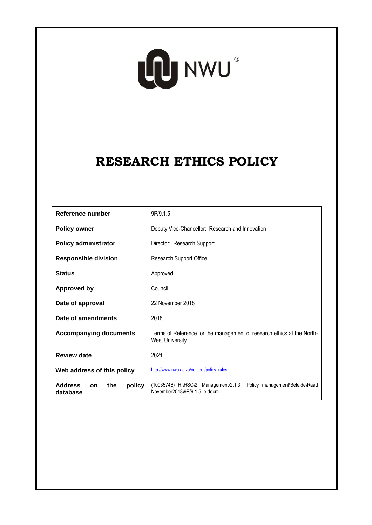# LO NWU

## **RESEARCH ETHICS POLICY**

| Reference number                                         | 9P/9.1.5                                                                                                |
|----------------------------------------------------------|---------------------------------------------------------------------------------------------------------|
| <b>Policy owner</b>                                      | Deputy Vice-Chancellor: Research and Innovation                                                         |
| <b>Policy administrator</b>                              | Director: Research Support                                                                              |
| <b>Responsible division</b>                              | Research Support Office                                                                                 |
| <b>Status</b>                                            | Approved                                                                                                |
| <b>Approved by</b>                                       | Council                                                                                                 |
| Date of approval                                         | 22 November 2018                                                                                        |
| Date of amendments                                       | 2018                                                                                                    |
| <b>Accompanying documents</b>                            | Terms of Reference for the management of research ethics at the North-<br><b>West University</b>        |
| <b>Review date</b>                                       | 2021                                                                                                    |
| Web address of this policy                               | http://www.nwu.ac.za/content/policy_rules                                                               |
| <b>Address</b><br>the<br>policy<br><b>on</b><br>database | (10935746) H:\HSC\2. Management\2.1.3<br>Policy management\Beleide\Raad<br>November2018\9P/9.1.5 e.docm |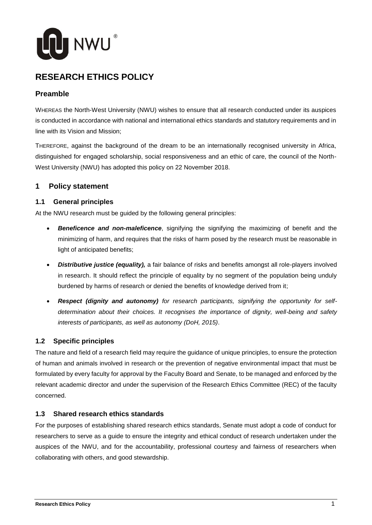

### **RESEARCH ETHICS POLICY**

#### **Preamble**

WHEREAS the North-West University (NWU) wishes to ensure that all research conducted under its auspices is conducted in accordance with national and international ethics standards and statutory requirements and in line with its Vision and Mission;

THEREFORE, against the background of the dream to be an internationally recognised university in Africa, distinguished for engaged scholarship, social responsiveness and an ethic of care, the council of the North-West University (NWU) has adopted this policy on 22 November 2018.

#### **1 Policy statement**

#### **1.1 General principles**

At the NWU research must be guided by the following general principles:

- *Beneficence and non-maleficence*, signifying the signifying the maximizing of benefit and the minimizing of harm, and requires that the risks of harm posed by the research must be reasonable in light of anticipated benefits;
- *Distributive justice (equality),* a fair balance of risks and benefits amongst all role-players involved in research. It should reflect the principle of equality by no segment of the population being unduly burdened by harms of research or denied the benefits of knowledge derived from it;
- *Respect (dignity and autonomy) for research participants, signifying the opportunity for selfdetermination about their choices. It recognises the importance of dignity, well-being and safety interests of participants, as well as autonomy (DoH, 2015)*.

#### **1.2 Specific principles**

The nature and field of a research field may require the guidance of unique principles, to ensure the protection of human and animals involved in research or the prevention of negative environmental impact that must be formulated by every faculty for approval by the Faculty Board and Senate, to be managed and enforced by the relevant academic director and under the supervision of the Research Ethics Committee (REC) of the faculty concerned.

#### **1.3 Shared research ethics standards**

For the purposes of establishing shared research ethics standards, Senate must adopt a code of conduct for researchers to serve as a guide to ensure the integrity and ethical conduct of research undertaken under the auspices of the NWU, and for the accountability, professional courtesy and fairness of researchers when collaborating with others, and good stewardship.